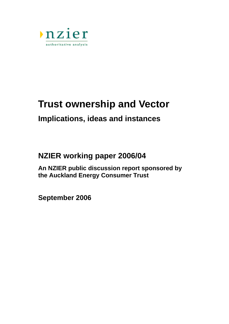

# **Trust ownership and Vector**

## **Implications, ideas and instances**

## **NZIER working paper 2006/04**

**An NZIER public discussion report sponsored by the Auckland Energy Consumer Trust** 

**September 2006**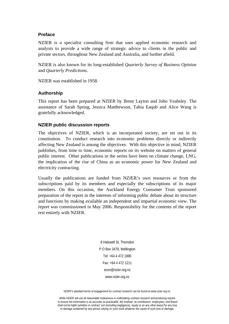#### **Preface**

NZIER is a specialist consulting firm that uses applied economic research and analysis to provide a wide range of strategic advice to clients in the public and private sectors, throughout New Zealand and Australia, and further afield.

NZIER is also known for its long-established *Quarterly Survey of Business Opinion* and *Quarterly Predictions*.

NZIER was established in 1958.

#### **Authorship**

This report has been prepared at NZIER by Brent Layton and John Yeabsley. The assistance of Sarah Spring, Jessica Matthewson, Tahia Eaqub and Alice Wang is gratefully acknowledged.

#### **NZIER public discussion reports**

The objectives of NZIER, which is an incorporated society, are set out in its constitution. To conduct research into economic problems directly or indirectly affecting New Zealand is among the objectives. With this objective in mind, NZIER publishes, from time to time, economic reports on its website on matters of general public interest. Other publications in the series have been on climate change, LNG, the implication of the rise of China as an economic power for New Zealand and electricity contracting.

Usually the publications are funded from NZIER's own resources or from the subscriptions paid by its members and especially the subscriptions of its major members. On this occasion, the Auckland Energy Consumer Trust sponsored preparation of the report in the interests of informing public debate about its structure and functions by making available an independent and impartial economic view. The report was commissioned in May 2006. Responsibility for the contents of the report rest entirely with NZIER.

> 8 Halswell St, Thorndon P O Box 3479, Wellington Tel: +64 4 472 1880 Fax: +64 4 472 1211 econ@nzier.org.nz www.nzier.org.nz

NZIER's standard terms of engagement for contract research can be found at www.nzier.org.nz.

While NZIER will use all reasonable endeavours in undertaking contract research and producing reports to ensure the information is as accurate as practicable, the Institute, its contributors, employees, and Board shall not be liable (whether in contract, tort (including negligence), equity or on any other basis) for any loss or damage sustained by any person relying on such work whatever the cause of such loss or damage.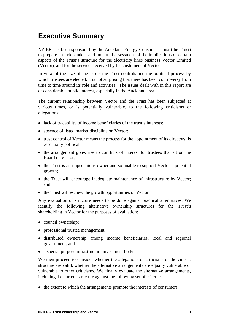## **Executive Summary**

NZIER has been sponsored by the Auckland Energy Consumer Trust (the Trust) to prepare an independent and impartial assessment of the implications of certain aspects of the Trust's structure for the electricity lines business Vector Limited (Vector), and for the services received by the customers of Vector.

In view of the size of the assets the Trust controls and the political process by which trustees are elected, it is not surprising that there has been controversy from time to time around its role and activities. The issues dealt with in this report are of considerable public interest, especially in the Auckland area.

The current relationship between Vector and the Trust has been subjected at various times, or is potentially vulnerable, to the following criticisms or allegations:

- lack of tradability of income beneficiaries of the trust's interests;
- absence of listed market discipline on Vector;
- trust control of Vector means the process for the appointment of its directors is essentially political;
- the arrangement gives rise to conflicts of interest for trustees that sit on the Board of Vector;
- the Trust is an impecunious owner and so unable to support Vector's potential growth;
- the Trust will encourage inadequate maintenance of infrastructure by Vector; and
- the Trust will eschew the growth opportunities of Vector.

Any evaluation of structure needs to be done against practical alternatives. We identify the following alternative ownership structures for the Trust's shareholding in Vector for the purposes of evaluation:

- council ownership;
- professional trustee management;
- distributed ownership among income beneficiaries, local and regional government; and
- a special purpose infrastructure investment body.

We then proceed to consider whether the allegations or criticisms of the current structure are valid; whether the alternative arrangements are equally vulnerable or vulnerable to other criticisms. We finally evaluate the alternative arrangements, including the current structure against the following set of criteria:

• the extent to which the arrangements promote the interests of consumers;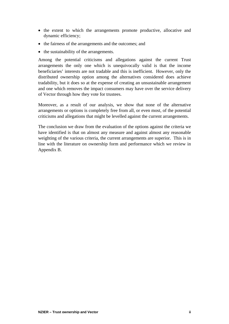- the extent to which the arrangements promote productive, allocative and dynamic efficiency;
- the fairness of the arrangements and the outcomes; and
- the sustainability of the arrangements.

Among the potential criticisms and allegations against the current Trust arrangements the only one which is unequivocally valid is that the income beneficiaries' interests are not tradable and this is inefficient. However, only the distributed ownership option among the alternatives considered does achieve tradability, but it does so at the expense of creating an unsustainable arrangement and one which removes the impact consumers may have over the service delivery of Vector through how they vote for trustees.

Moreover, as a result of our analysis, we show that none of the alternative arrangements or options is completely free from all, or even most, of the potential criticisms and allegations that might be levelled against the current arrangements.

The conclusion we draw from the evaluation of the options against the criteria we have identified is that on almost any measure and against almost any reasonable weighting of the various criteria, the current arrangements are superior. This is in line with the literature on ownership form and performance which we review in Appendix B.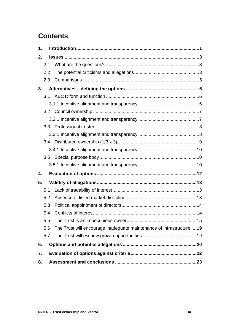## **Contents**

| 1. |     |                                                                       |  |  |  |
|----|-----|-----------------------------------------------------------------------|--|--|--|
| 2. |     |                                                                       |  |  |  |
|    | 2.1 |                                                                       |  |  |  |
|    | 2.2 |                                                                       |  |  |  |
|    | 2.3 |                                                                       |  |  |  |
| 3. |     |                                                                       |  |  |  |
|    | 3.1 |                                                                       |  |  |  |
|    |     |                                                                       |  |  |  |
|    |     |                                                                       |  |  |  |
|    |     |                                                                       |  |  |  |
|    |     |                                                                       |  |  |  |
|    |     |                                                                       |  |  |  |
|    |     |                                                                       |  |  |  |
|    |     |                                                                       |  |  |  |
|    |     |                                                                       |  |  |  |
|    |     |                                                                       |  |  |  |
| 4. |     |                                                                       |  |  |  |
| 5. |     |                                                                       |  |  |  |
|    | 5.1 |                                                                       |  |  |  |
|    | 5.2 |                                                                       |  |  |  |
|    | 5.3 |                                                                       |  |  |  |
|    | 5.4 |                                                                       |  |  |  |
|    | 5.5 |                                                                       |  |  |  |
|    | 5.6 | The Trust will encourage inadequate maintenance of infrastructure  19 |  |  |  |
|    | 5.7 |                                                                       |  |  |  |
| 6. |     |                                                                       |  |  |  |
| 7. |     |                                                                       |  |  |  |
| 8. |     |                                                                       |  |  |  |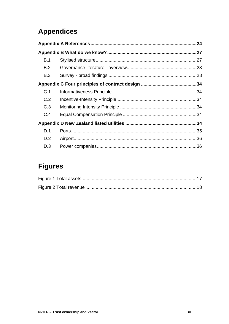## **Appendices**

| B.1 |  |  |  |  |
|-----|--|--|--|--|
| B.2 |  |  |  |  |
| B.3 |  |  |  |  |
|     |  |  |  |  |
| C.1 |  |  |  |  |
| C.2 |  |  |  |  |
| C.3 |  |  |  |  |
| C.4 |  |  |  |  |
|     |  |  |  |  |
| D.1 |  |  |  |  |
| D.2 |  |  |  |  |
| D.3 |  |  |  |  |

## **Figures**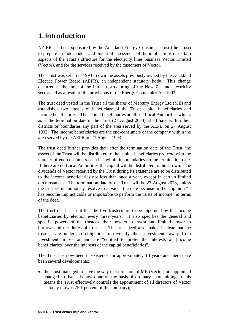## <span id="page-6-0"></span>**1. Introduction**

NZIER has been sponsored by the Auckland Energy Consumer Trust (the Trust) to prepare an independent and impartial assessment of the implications of certain aspects of the Trust's structure for the electricity lines business Vector Limited (Vector), and for the services received by the customers of Vector.

The Trust was set up in 1993 to own the assets previously owned by the Auckland Electric Power Board (AEPB), an independent statutory body. This change occurred at the time of the initial restructuring of the New Zealand electricity sector and as a result of the provisions of the Energy Companies Act 1992.

The trust deed vested in the Trust all the shares of Mercury Energy Ltd (ME) and established two classes of beneficiary of the Trust; capital beneficiaries and income beneficiaries. The capital beneficiaries are those Local Authorities which, as at the termination date of the Trust (27 August 2073), shall have within their districts or boundaries any part of the area served by the AEPB on 27 August 1993. The income beneficiaries are the end-consumers of the company within the area served by the AEPB on 27 August 1993.

The trust deed further provides that, after the termination date of the Trust, the assets of the Trust will be distributed to the capital beneficiaries *pro rata* with the number of end-consumers each has within its boundaries on the termination date. If there are no Local Authorities the capital will be distributed to the Crown. The dividends of Vector received by the Trust during its existence are to be distributed to the income beneficiaries not less than once a year, except in certain limited circumstances. The termination date of the Trust will be 27 August 2073, unless the trustees unanimously resolve to advance the date because in their opinion "it has become impracticable or impossible to perform the trusts of income" in terms of the deed.

The trust deed sets out that the five trustees are to be appointed by the income beneficiaries by election every three years. It also specifies the general and specific powers of the trustees, their powers to invest and limited power to borrow, and the duties of trustees. The trust deed also makes it clear that the trustees are under no obligation to diversify their investments away from investment in Vector and are "entitled to prefer the interests of [income beneficiaries] over the interests of the capital beneficiaries".

The Trust has now been in existence for approximately 13 years and there have been several developments:

• the Trust managed to have the way that directors of ME (Vector) are appointed changed so that it is now done on the basis of ordinary shareholding. (This means the Trust effectively controls the appointment of all directors of Vector as today it owns 75.1 percent of the company);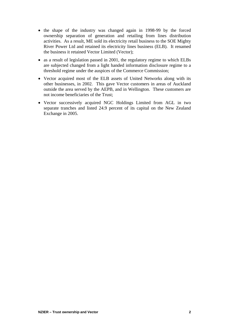- the shape of the industry was changed again in 1998-99 by the forced ownership separation of generation and retailing from lines distribution activities. As a result, ME sold its electricity retail business to the SOE Mighty River Power Ltd and retained its electricity lines business (ELB). It renamed the business it retained Vector Limited (Vector);
- as a result of legislation passed in 2001, the regulatory regime to which ELBs are subjected changed from a light handed information disclosure regime to a threshold regime under the auspices of the Commerce Commission;
- Vector acquired most of the ELB assets of United Networks along with its other businesses, in 2002. This gave Vector customers in areas of Auckland outside the area served by the AEPB, and in Wellington. These customers are not income beneficiaries of the Trust;
- Vector successively acquired NGC Holdings Limited from AGL in two separate tranches and listed 24.9 percent of its capital on the New Zealand Exchange in 2005.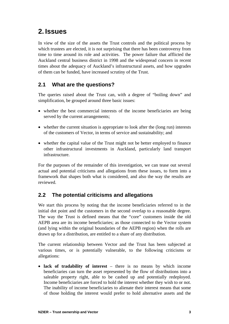## <span id="page-8-0"></span>**2. Issues**

In view of the size of the assets the Trust controls and the political process by which trustees are elected, it is not surprising that there has been controversy from time to time around its role and activities. The power failure that afflicted the Auckland central business district in 1998 and the widespread concern in recent times about the adequacy of Auckland's infrastructural assets, and how upgrades of them can be funded, have increased scrutiny of the Trust.

### **2.1 What are the questions?**

The queries raised about the Trust can, with a degree of "boiling down" and simplification, be grouped around three basic issues:

- whether the best commercial interests of the income beneficiaries are being served by the current arrangements;
- whether the current situation is appropriate to look after the (long run) interests of the customers of Vector, in terms of service and sustainability; and
- whether the capital value of the Trust might not be better employed to finance other infrastructural investments in Auckland, particularly land transport infrastructure.

For the purposes of the remainder of this investigation, we can tease out several actual and potential criticisms and allegations from these issues, to form into a framework that shapes both what is considered, and also the way the results are reviewed.

#### <span id="page-8-1"></span>**2.2 The potential criticisms and allegations**

We start this process by noting that the income beneficiaries referred to in the initial dot point and the customers in the second overlap to a reasonable degree. The way the Trust is defined means that the "core" customers inside the old AEPB area are its income beneficiaries; as those connected to the Vector system (and lying within the original boundaries of the AEPB region) when the rolls are drawn up for a distribution, are entitled to a share of any distribution.

The current relationship between Vector and the Trust has been subjected at various times, or is potentially vulnerable, to the following criticisms or allegations:

• **lack of tradability of interest** – there is no means by which income beneficiaries can turn the asset represented by the flow of distributions into a saleable property right, able to be cashed up and potentially redeployed. Income beneficiaries are forced to hold the interest whether they wish to or not. The inability of income beneficiaries to alienate their interest means that some of those holding the interest would prefer to hold alternative assets and the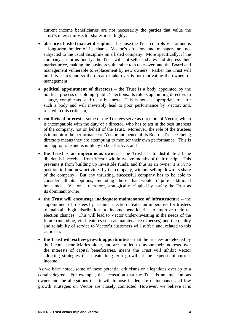current income beneficiaries are not necessarily the parties that value the Trust's interest in Vector shares most highly;

- **absence of listed market discipline** because the Trust controls Vector and is a long-term holder of its shares, Vector's directors and managers are not subjected to the usual discipline on a listed company. More specifically, if the company performs poorly, the Trust will not sell its shares and depress their market price, making the business vulnerable to a take-over, and the Board and management vulnerable to replacement by new owners. Rather the Trust will hold its shares and so the threat of take over is not motivating the owners or management;
- **political appointment of directors** the Trust is a body appointed by the political process of holding 'public' elections. Its role is appointing directors to a large, complicated and risky business. This is not an appropriate role for such a body and will inevitably lead to poor performance by Vector; and, related to this criticism,
- **conflicts of interest** some of the Trustees serve as directors of Vector, which is incompatible with the duty of a director, who has to act in the best interests of the company, not on behalf of the Trust. Moreover, the role of the trustees is to monitor the performance of Vector and hence of its Board. Trustees being directors means they are attempting to monitor their own performance. This is not appropriate and is unlikely to be effective; and
- **the Trust is an impecunious owner**  the Trust has to distribute all the dividends it receives from Vector within twelve months of their receipt. This prevents it from building up investible funds, and thus as an owner it is in no position to fund new activities by the company, without selling down its share of the company. But any thrusting, successful company has to be able to consider all its options, including those that would require additional investment. Vector is, therefore, strategically crippled by having the Trust as its dominant owner;
- **the Trust will encourage inadequate maintenance of infrastructure**  the appointment of trustees by triennial election creates an imperative for trustees to maintain high distributions to income beneficiaries to improve their reelection chances. This will lead to Vector under-investing in the needs of the future (including, vital features such as maintenance expenses) and the quality and reliability of service to Vector's customers will suffer; and, related to this criticism,
- **the Trust will eschew growth opportunities** that the trustees are elected by the income beneficiaries alone, and are entitled to favour their interests over the interests of capital beneficiaries, means the Trust will inhibit Vector adopting strategies that create long-term growth at the expense of current income.

As we have noted, some of these potential criticisms or allegations overlap to a certain degree. For example, the accusation that the Trust is an impecunious owner and the allegations that it will impose inadequate maintenance and low growth strategies on Vector are closely connected. However, we believe it is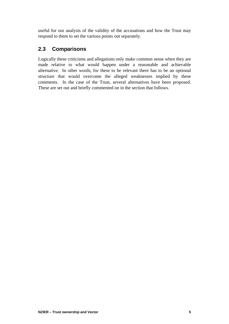<span id="page-10-0"></span>useful for our analysis of the validity of the accusations and how the Trust may respond to them to set the various points out separately.

### **2.3 Comparisons**

Logically these criticisms and allegations only make common sense when they are made relative to what would happen under a reasonable and achievable alternative. In other words, for these to be relevant there has to be an optional structure that would overcome the alleged weaknesses implied by these comments. In the case of the Trust, several alternatives have been proposed. These are set out and briefly commented on in the section that follows.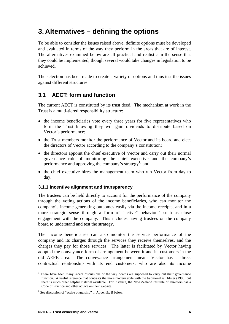## <span id="page-11-0"></span>**3. Alternatives – defining the options**

To be able to consider the issues raised above, definite options must be developed and evaluated in terms of the way they perform in the areas that are of interest. The alternatives examined below are all practical and realistic in the sense that they could be implemented, though several would take changes in legislation to be achieved.

The selection has been made to create a variety of options and thus test the issues against different structures.

### **3.1 AECT: form and function**

The current AECT is constituted by its trust deed. The mechanism at work in the Trust is a multi-tiered responsibility structure:

- the income beneficiaries vote every three years for five representatives who form the Trust knowing they will gain dividends to distribute based on Vector's performance;
- the Trust members monitor the performance of Vector and its board and elect the directors of Vector according to the company's constitution;
- the directors appoint the chief executive of Vector and carry out their normal governance role of monitoring the chief executive and the company's performance and approving the company's strategy<sup>1</sup>; and
- the chief executive hires the management team who run Vector from day to day.

#### **3.1.1 Incentive alignment and transparency**

The trustees can be held directly to account for the performance of the company through the voting actions of the income beneficiaries, who can monitor the company's income generating outcomes easily via the income receipts, and in a morestrategic sense through a form of "active" behaviour<sup>2</sup> such as close engagement with the company. This includes having trustees on the company board to understand and test the strategy.

The income beneficiaries can also monitor the service performance of the company and its charges through the services they receive themselves, and the charges they pay for those services. The latter is facilitated by Vector having adopted the conveyance form of arrangement between it and its customers in the old AEPB area. The conveyance arrangement means Vector has a direct contractual relationship with its end customers, who are also its income

 $\overline{a}$ 

<span id="page-11-1"></span><sup>&</sup>lt;sup>1</sup> There have been many recent discussions of the way boards are supposed to carry out their governance function. A useful reference that contrasts the more modern style with the traditional is Hilmer (1993) but there is much other helpful material available. For instance, the New Zealand Institute of Directors has a Code of Practice and other advice on their website.

<span id="page-11-2"></span> $2^2$  See discussion of "active ownership" in Appendix B below.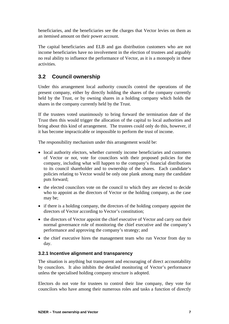<span id="page-12-0"></span>beneficiaries, and the beneficiaries see the charges that Vector levies on them as an itemised amount on their power account.

The capital beneficiaries and ELB and gas distribution customers who are not income beneficiaries have no involvement in the election of trustees and arguably no real ability to influence the performance of Vector, as it is a monopoly in these activities.

### **3.2 Council ownership**

Under this arrangement local authority councils control the operations of the present company, either by directly holding the shares of the company currently held by the Trust, or by owning shares in a holding company which holds the shares in the company currently held by the Trust.

If the trustees voted unanimously to bring forward the termination date of the Trust then this would trigger the allocation of the capital to local authorities and bring about this kind of arrangement. The trustees could only do this, however, if it has become impracticable or impossible to perform the trust of income.

The responsibility mechanism under this arrangement would be:

- local authority electors, whether currently income beneficiaries and customers of Vector or not, vote for councilors with their proposed policies for the company, including what will happen to the company's financial distributions to its council shareholder and to ownership of the shares. Each candidate's policies relating to Vector would be only one plank among many the candidate puts forward;
- the elected councilors vote on the council to which they are elected to decide who to appoint as the directors of Vector or the holding company, as the case may be;
- if there is a holding company, the directors of the holding company appoint the directors of Vector according to Vector's constitution;
- the directors of Vector appoint the chief executive of Vector and carry out their normal governance role of monitoring the chief executive and the company's performance and approving the company's strategy; and
- the chief executive hires the management team who run Vector from day to day.

#### **3.2.1 Incentive alignment and transparency**

The situation is anything but transparent and encouraging of direct accountability by councilors. It also inhibits the detailed monitoring of Vector's performance unless the specialised holding company structure is adopted.

Electors do not vote for trustees to control their line company, they vote for councilors who have among their numerous roles and tasks a function of directly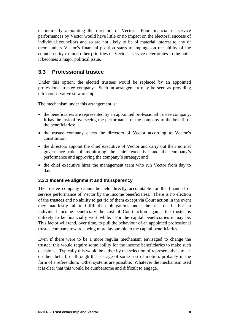<span id="page-13-0"></span>or indirectly appointing the directors of Vector. Poor financial or service performances by Vector would have little or no impact on the electoral success of individual councilors and so are not likely to be of material interest to any of them, unless Vector's financial position starts to impinge on the ability of the council entity to fund other priorities or Vector's service deteriorates to the point it becomes a major political issue.

#### **3.3 Professional trustee**

Under this option, the elected trustees would be replaced by an appointed professional trustee company. Such an arrangement may be seen as providing ultra conservative stewardship.

The mechanism under this arrangement is:

- the beneficiaries are represented by an appointed professional trustee company. It has the task of overseeing the performance of the company to the benefit of the beneficiaries;
- the trustee company elects the directors of Vector according to Vector's constitution;
- the directors appoint the chief executive of Vector and carry out their normal governance role of monitoring the chief executive and the company's performance and approving the company's strategy; and
- the chief executive hires the management team who run Vector from day to day.

#### **3.3.1 Incentive alignment and transparency**

The trustee company cannot be held directly accountable for the financial or service performance of Vector by the income beneficiaries. There is no election of the trustees and no ability to get rid of them except via Court action in the event they manifestly fail to fulfill their obligations under the trust deed. For an individual income beneficiary the cost of Court action against the trustee is unlikely to be financially worthwhile. For the capital beneficiaries it may be. This factor will tend, over time, to pull the behaviour of an appointed professional trustee company towards being more favourable to the capital beneficiaries.

Even if there were to be a more regular mechanism envisaged to change the trustee, this would require some ability for the income beneficiaries to make such decisions. Typically this would be either by the selection of representatives to act on their behalf, or through the passage of some sort of motion, probably in the form of a referendum. Other systems are possible. Whatever the mechanism used it is clear that this would be cumbersome and difficult to engage.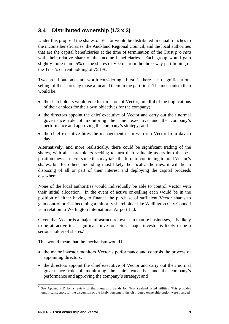### <span id="page-14-2"></span><span id="page-14-0"></span>**3.4 Distributed ownership (1/3 x 3)**

Under this proposal the shares of Vector would be distributed in equal tranches to the income beneficiaries, the Auckland Regional Council, and the local authorities that are the capital beneficiaries at the time of termination of the Trust *pro rata* with their relative share of the income beneficiaries. Each group would gain slightly more than 25% of the shares of Vector from the three-way partitioning of the Trust's current holding of 75.1%.

Two broad outcomes are worth considering. First, if there is no significant onselling of the shares by those allocated them in the partition. The mechanism then would be:

- the shareholders would vote for directors of Vector, mindful of the implications of their choices for their own objectives for the company;
- the directors appoint the chief executive of Vector and carry out their normal governance role of monitoring the chief executive and the company's performance and approving the company's strategy; and
- the chief executive hires the management team who run Vector from day to day.

Alternatively, and more realistically, there could be significant trading of the shares, with all shareholders seeking to turn their valuable assets into the best position they can. For some this may take the form of continuing to hold Vector's shares, but for others, including most likely the local authorities, it will lie in disposing of all or part of their interest and deploying the capital proceeds elsewhere.

None of the local authorities would individually be able to control Vector with their initial allocation. In the event of active on-selling each would be in the position of either having to finance the purchase of sufficient Vector shares to gain control or risk becoming a minority shareholder like Wellington City Council is in relation to Wellington International Airport Ltd.

Given that Vector is a major infrastructure owner in mature businesses, it is likely to be attractive to a significant investor. So a major investor is likely to be a serious holder of shares  $3$ 

This would mean that the mechanism would be:

- the major investor monitors Vector's performance and controls the process of appointing directors;
- the directors appoint the chief executive of Vector and carry out their normal governance role of monitoring the chief executive and the company's performance and approving the company's strategy; and

<span id="page-14-1"></span> $\overline{a}$ 3 See Appendix D for a review of the ownership trends for New Zealand listed utilities. This provides empirical support for the discussion of the likely outcome if the distributed ownership option were pursued.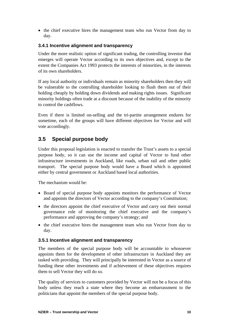<span id="page-15-0"></span>• the chief executive hires the management team who run Vector from day to day.

#### **3.4.1 Incentive alignment and transparency**

Under the more realistic option of significant trading, the controlling investor that emerges will operate Vector according to its own objectives and, except to the extent the Companies Act 1993 protects the interests of minorities, in the interests of its own shareholders.

If any local authority or individuals remain as minority shareholders then they will be vulnerable to the controlling shareholder looking to flush them out of their holding cheaply by holding down dividends and making rights issues. Significant minority holdings often trade at a discount because of the inability of the minority to control the cashflows.

Even if there is limited on-selling and the tri-partite arrangement endures for sometime, each of the groups will have different objectives for Vector and will vote accordingly.

### **3.5 Special purpose body**

Under this proposal legislation is enacted to transfer the Trust's assets to a special purpose body, so it can use the income and capital of Vector to fund other infrastructure investments in Auckland, like roads, urban rail and other public transport. The special purpose body would have a Board which is appointed either by central government or Auckland based local authorities.

The mechanism would be:

- Board of special purpose body appoints monitors the performance of Vector and appoints the directors of Vector according to the company's Constitution;
- the directors appoint the chief executive of Vector and carry out their normal governance role of monitoring the chief executive and the company's performance and approving the company's strategy; and
- the chief executive hires the management team who run Vector from day to day.

#### **3.5.1 Incentive alignment and transparency**

The members of the special purpose body will be accountable to whosoever appoints them for the development of other infrastructure in Auckland they are tasked with providing. They will principally be interested in Vector as a source of funding these other investments and if achievement of these objectives requires them to sell Vector they will do so.

The quality of services to customers provided by Vector will not be a focus of this body unless they reach a state where they become an embarrassment to the politicians that appoint the members of the special purpose body.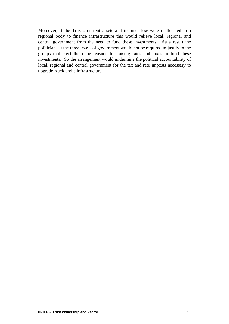Moreover, if the Trust's current assets and income flow were reallocated to a regional body to finance infrastructure this would relieve local, regional and central government from the need to fund these investments. As a result the politicians at the three levels of government would not be required to justify to the groups that elect them the reasons for raising rates and taxes to fund these investments. So the arrangement would undermine the political accountability of local, regional and central government for the tax and rate imposts necessary to upgrade Auckland's infrastructure.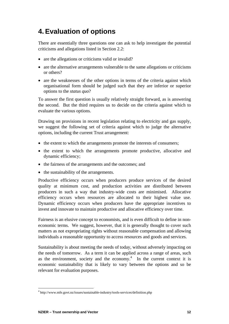## <span id="page-17-0"></span>**4. Evaluation of options**

There are essentially three questions one can ask to help investigate the potential criticisms and allegations listed in Section [2.2:](#page-8-1)

- are the allegations or criticisms valid or invalid?
- are the alternative arrangements vulnerable to the same allegations or criticisms or others?
- are the weaknesses of the other options in terms of the criteria against which organisational form should be judged such that they are inferior or superior options to the *status quo*?

To answer the first question is usually relatively straight forward, as is answering the second. But the third requires us to decide on the criteria against which to evaluate the various options.

Drawing on provisions in recent legislation relating to electricity and gas supply, we suggest the following set of criteria against which to judge the alternative options, including the current Trust arrangement:

- the extent to which the arrangements promote the interests of consumers;
- the extent to which the arrangements promote productive, allocative and dynamic efficiency;
- the fairness of the arrangements and the outcomes; and
- the sustainability of the arrangements.

Productive efficiency occurs when producers produce services of the desired quality at minimum cost, and production activities are distributed between producers in such a way that industry-wide costs are minimised. Allocative efficiency occurs when resources are allocated to their highest value use. Dynamic efficiency occurs when producers have the appropriate incentives to invest and innovate to maintain productive and allocative efficiency over time.

Fairness is an elusive concept to economists, and is even difficult to define in noneconomic terms. We suggest, however, that it is generally thought to cover such matters as not expropriating rights without reasonable compensation and allowing individuals a reasonable opportunity to access resources and goods and services.

Sustainability is about meeting the needs of today, without adversely impacting on the needs of tomorrow. As a term it can be applied across a range of areas, such as [the environment](http://www.mfe.govt.nz/issues/sustainable-industry/tools-services/concepts.php?id=13), [society](http://www.mfe.govt.nz/issues/sustainable-industry/tools-services/concepts.php?id=9) and the economy. $<sup>4</sup>$  $<sup>4</sup>$  $<sup>4</sup>$  In the current context it is</sup> economic sustainability that is likely to vary between the options and so be relevant for evaluation purposes.

 $\overline{a}$ 

<span id="page-17-1"></span><sup>&</sup>lt;sup>4</sup> http://www.mfe.govt.nz/issues/sustainable-industry/tools-services/definition.php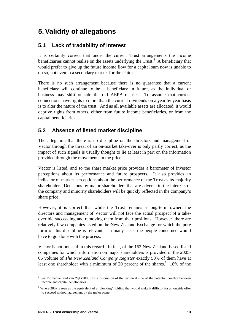## <span id="page-18-3"></span><span id="page-18-0"></span>**5. Validity of allegations**

### **5.1 Lack of tradability of interest**

It is certainly correct that under the current Trust arrangements the income beneficiaries cannot realise on the assets underlying the Trust.<sup>[5](#page-18-1)</sup> A beneficiary that would prefer to give up the future income flow for a capital sum now is unable to do so, not even in a secondary market for the claims.

There is no such arrangement because there is no guarantee that a current beneficiary will continue to be a beneficiary in future, as the individual or business may shift outside the old AEPB district. To assume that current connections have rights to more than the current dividends on a year by year basis is to alter the nature of the trust. And as all available assets are allocated, it would deprive rights from others, either from future income beneficiaries, or from the capital beneficiaries.

#### **5.2 Absence of listed market discipline**

The allegation that there is no discipline on the directors and management of Vector through the threat of an on-market take-over is only partly correct, as the impact of such signals is usually thought to lie at least in part on the information provided through the movements in the price.

Vector is listed, and so the share market price provides a barometer of investor perceptions about its performance and future prospects. It also provides an indicator of market perceptions about the performance of the Trust as its majority shareholder. Decisions by major shareholders that are adverse to the interests of the company and minority shareholders will be quickly reflected in the company's share price.

However, it is correct that while the Trust remains a long-term owner, the directors and management of Vector will not face the actual prospect of a takeover bid succeeding and removing them from their positions. However, there are relatively few companies listed on the New Zealand Exchange for which the pure form of this discipline is relevant – in many cases the people concerned would have to go alone with the process.

Vector is not unusual in this regard. In fact, of the 152 New Zealand-based listed companies for which information on major shareholders is provided in the 2005- 06 volume of *The New Zealand Company Register* exactly 50% of them have at leastone shareholder with a minimum of 20 percent of the shares.<sup>6</sup> 18% of the

<span id="page-18-1"></span> $\overline{a}$ <sup>5</sup> See Emmanuel and van Zijl (2006) for a discussion of the technical side of the potential conflict between income and capital beneficiaries.

<span id="page-18-2"></span> $6$  Where 20% is seen as the equivalent of a 'blocking' holding that would make it difficult for an outside offer to succeed without agreement by the major owner.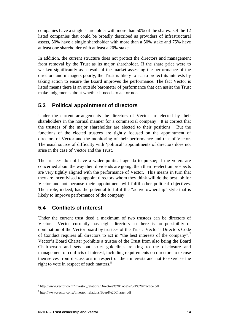<span id="page-19-0"></span>companies have a single shareholder with more than 50% of the shares. Of the 12 listed companies that could be broadly described as providers of infrastructural assets, 50% have a single shareholder with more than a 50% stake and 75% have at least one shareholder with at least a 20% stake.

In addition, the current structure does not protect the directors and management from removal by the Trust as its major shareholder. If the share price were to weaken significantly as a result of the market assessing the performance of the directors and managers poorly, the Trust is likely to act to protect its interests by taking action to ensure the Board improves the performance. The fact Vector is listed means there is an outside barometer of performance that can assist the Trust make judgements about whether it needs to act or not.

### **5.3 Political appointment of directors**

Under the current arrangements the directors of Vector are elected by their shareholders in the normal manner for a commercial company. It is correct that the trustees of the major shareholder are elected to their positions. But the functions of the elected trustees are tightly focused on the appointment of directors of Vector and the monitoring of their performance and that of Vector. The usual source of difficulty with 'political' appointments of directors does not arise in the case of Vector and the Trust.

The trustees do not have a wider political agenda to pursue; if the voters are concerned about the way their dividends are going, then their re-election prospects are very tightly aligned with the performance of Vector. This means in turn that they are incentivised to appoint directors whom they think will do the best job for Vector and not because their appointment will fulfil other political objectives. Their role, indeed, has the potential to fulfil the "active ownership" style that is likely to improve performance of the company.

### **5.4 Conflicts of interest**

Under the current trust deed a maximum of two trustees can be directors of Vector. Vector currently has eight directors so there is no possibility of domination of the Vector board by trustees of the Trust. Vector's Directors Code of Conduct requires all directors to act in "the best interests of the company".<sup>7</sup> Vector's Board Charter prohibits a trustee of the Trust from also being the Board Chairperson and sets out strict guidelines relating to the disclosure and management of conflicts of interest, including requirements on directors to excuse themselves from discussions in respect of their interests and not to exercise the right to vote in respect of such matters. $8<sup>8</sup>$  $8<sup>8</sup>$ 

<span id="page-19-1"></span> $\overline{a}$ 7 http://www.vector.co.nz/investor\_relations/Directors%20Code%20of%20Practice.pdf

<span id="page-19-2"></span><sup>8</sup> http://www.vector.co.nz/investor\_relations/Board%20Charter.pdf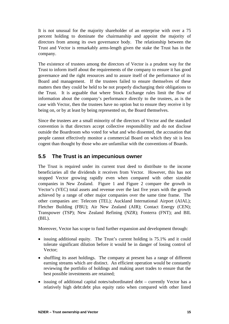<span id="page-20-0"></span>It is not unusual for the majority shareholder of an enterprise with over a 75 percent holding to dominate the chairmanship and appoint the majority of directors from among its own governance body. The relationship between the Trust and Vector is remarkably arms-length given the stake the Trust has in the company.

The existence of trustees among the directors of Vector is a prudent way for the Trust to inform itself about the requirements of the company to ensure it has good governance and the right resources and to assure itself of the performance of its Board and management. If the trustees failed to ensure themselves of these matters then they could be held to be not properly discharging their obligations to the Trust. It is arguable that where Stock Exchange rules limit the flow of information about the company's performance directly to the trustees, as is the case with Vector, then the trustees have no option but to ensure they receive it by being on, or by at least by being represented on, the Board themselves.

Since the trustees are a small minority of the directors of Vector and the standard convention is that directors accept collective responsibility and do not disclose outside the Boardroom who voted for what and who dissented, the accusation that people cannot effectively monitor a commercial Board on which they sit is less cogent than thought by those who are unfamiliar with the conventions of Boards.

### **5.5 The Trust is an impecunious owner**

The Trust is required under its current trust deed to distribute to the income beneficiaries all the dividends it receives from Vector. However, this has not stopped Vector growing rapidly even when compared with other sizeable companies in New Zealand. [Figure 1](#page-22-1) and [Figure 2](#page-23-1) compare the growth in Vector's (VEC) total assets and revenue over the last five years with the growth achieved by a range of other major companies over the same time frame. The other companies are: Telecom (TEL); Auckland International Airport (AIAL); Fletcher Building (FBU); Air New Zealand (AIR); Contact Energy (CEN); Transpower (TSP); New Zealand Refining (NZR); Fonterra (FNT); and BIL (BIL).

Moreover, Vector has scope to fund further expansion and development through:

- issuing additional equity. The Trust's current holding is 75.1% and it could tolerate significant dilution before it would be in danger of losing control of Vector;
- shuffling its asset holdings. The company at present has a range of different earning streams which are distinct. An efficient operation would be constantly reviewing the portfolio of holdings and making asset trades to ensure that the best possible investments are retained;
- issuing of additional capital notes/subordinated debt currently Vector has a relatively high debt:debt plus equity ratio when compared with other listed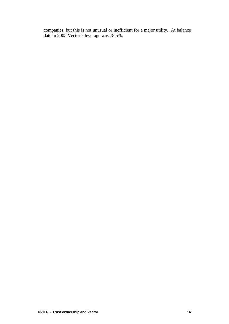companies, but this is not unusual or inefficient for a major utility. At balance date in 2005 Vector's leverage was 78.5%.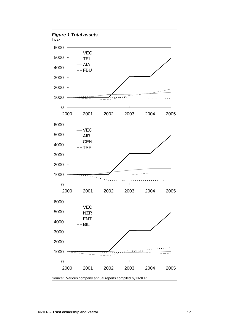<span id="page-22-1"></span><span id="page-22-0"></span>

Source: Various company annual reports compiled by NZIER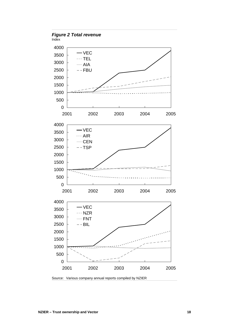<span id="page-23-1"></span><span id="page-23-0"></span>

Source: Various company annual reports compiled by NZIER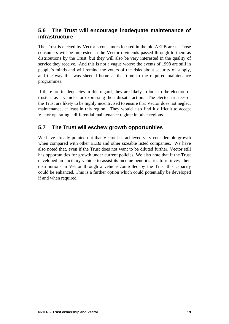#### <span id="page-24-0"></span>**5.6 The Trust will encourage inadequate maintenance of infrastructure**

The Trust is elected by Vector's consumers located in the old AEPB area. Those consumers will be interested in the Vector dividends passed through to them as distributions by the Trust, but they will also be very interested in the quality of service they receive. And this is not a vague worry; the events of 1998 are still in people's minds and will remind the voters of the risks about security of supply, and the way this was sheeted home at that time to the required maintenance programmes.

If there are inadequacies in this regard, they are likely to look to the election of trustees as a vehicle for expressing their dissatisfaction. The elected trustees of the Trust are likely to be highly incentivised to ensure that Vector does not neglect maintenance, at least in this region. They would also find it difficult to accept Vector operating a differential maintenance regime in other regions.

### **5.7 The Trust will eschew growth opportunities**

We have already pointed out that Vector has achieved very considerable growth when compared with other ELBs and other sizeable listed companies. We have also noted that, even if the Trust does not want to be diluted further, Vector still has opportunities for growth under current policies. We also note that if the Trust developed an ancillary vehicle to assist its income beneficiaries to re-invest their distributions in Vector through a vehicle controlled by the Trust this capacity could be enhanced. This is a further option which could potentially be developed if and when required.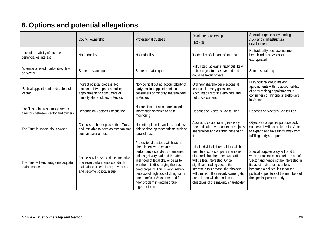## **6. Options and potential allegations**

<span id="page-25-1"></span><span id="page-25-0"></span>

|                                                                           | Council ownership                                                                                                                              | Professional trustees                                                                                                                                                                                                                                                                                                                                                                                | Distributed ownership<br>$(1/3 \times 3)$                                                                                                                                                                                                                                                                                                             | Special purpose body funding<br>Auckland's infrastructural<br>development                                                                                                                                                                                        |
|---------------------------------------------------------------------------|------------------------------------------------------------------------------------------------------------------------------------------------|------------------------------------------------------------------------------------------------------------------------------------------------------------------------------------------------------------------------------------------------------------------------------------------------------------------------------------------------------------------------------------------------------|-------------------------------------------------------------------------------------------------------------------------------------------------------------------------------------------------------------------------------------------------------------------------------------------------------------------------------------------------------|------------------------------------------------------------------------------------------------------------------------------------------------------------------------------------------------------------------------------------------------------------------|
| Lack of tradability of income<br>beneficiaries interest                   | No tradability                                                                                                                                 | No tradability                                                                                                                                                                                                                                                                                                                                                                                       | Tradability of all parties' interests                                                                                                                                                                                                                                                                                                                 | No tradability because income<br>beneficiaries have 'asset'<br>expropriated                                                                                                                                                                                      |
| Absence of listed market discipline<br>on Vector                          | Same as status quo                                                                                                                             | Same as status quo                                                                                                                                                                                                                                                                                                                                                                                   | Fully listed, at least initially but likely<br>to be subject to take-over bid and<br>could be taken private                                                                                                                                                                                                                                           |                                                                                                                                                                                                                                                                  |
| Political appointment of directors of<br>Vector                           | Indirect political process. No<br>accountability of parties making<br>appointments to consumers or<br>minority shareholders in Vector.         | Non-political but no accountability of<br>party making appointments to<br>consumers or minority shareholders<br>in Vector.                                                                                                                                                                                                                                                                           | Ordinary shareholder elections at<br>least until a party gains control.<br>Accountability to shareholders and<br>not to consumers.                                                                                                                                                                                                                    | Fully political group making<br>appointments with no accountability<br>of party making appointments to<br>consumers or minority shareholders<br>in Vector                                                                                                        |
| Conflicts of interest among Vector<br>directors between Vector and owners | Depends on Vector's Constitution                                                                                                               | No conflicts but also more limited<br>information on which to base<br>monitoring                                                                                                                                                                                                                                                                                                                     | Depends on Vector's Constitution                                                                                                                                                                                                                                                                                                                      |                                                                                                                                                                                                                                                                  |
| The Trust is impecunious owner                                            | Councils no better placed than Trust<br>and less able to develop mechanisms<br>such as parallel trust                                          | No better placed than Trust and less<br>able to develop mechanisms such as<br>parallel trust                                                                                                                                                                                                                                                                                                         | Access to capital raising relatively<br>free until take-over occurs by majority<br>shareholder and will then depend on<br>it                                                                                                                                                                                                                          | Objectives of special purpose body<br>suggests it will not be keen for Vector<br>to expand and take funds away from<br>fulfilling body's purpose                                                                                                                 |
| The Trust will encourage inadequate<br>maintenance                        | Councils will have no direct incentive<br>to ensure performance standards<br>maintained unless they get very bad<br>and become political issue | Professional trustees will have no<br>direct incentive to ensure<br>performance standards maintained<br>unless get very bad and threatens<br>likelihood of legal challenge as to<br>whether it is discharging the trust<br>deed properly. This is very unlikely<br>because of high cost of doing so for<br>one beneficiary/customer and free-<br>rider problem in getting group<br>together to do so | Initial individual shareholders will be<br>keen to ensure company maintains<br>standards but the other two parties<br>will be less interested. Once<br>significant trading occurs then<br>interest in this among shareholders<br>will diminish. If a majority owner gets<br>control then will depend on the<br>objectives of the majority shareholder | Special purpose body will tend to<br>want to maximise cash returns out of<br>Vector and hence not be interested in<br>its asset maintenance unless it<br>becomes a political issue for the<br>political appointers of the members of<br>the special purpose body |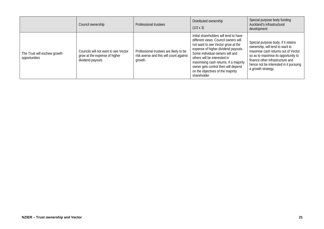|                                               | Council ownership                                                                         | Professional trustees                                                                        | Distributed ownership<br>$(1/3 \times 3)$                                                                                                                                                                                                                                                                                                                           | Special purpose body funding<br>Auckland's infrastructural<br>development                                                                                                                                                                                 |
|-----------------------------------------------|-------------------------------------------------------------------------------------------|----------------------------------------------------------------------------------------------|---------------------------------------------------------------------------------------------------------------------------------------------------------------------------------------------------------------------------------------------------------------------------------------------------------------------------------------------------------------------|-----------------------------------------------------------------------------------------------------------------------------------------------------------------------------------------------------------------------------------------------------------|
| The Trust will eschew growth<br>opportunities | Councils will not want to see Vector<br>grow at the expense of higher<br>dividend payouts | Professional trustees are likely to be<br>risk averse and this will count against<br>growth. | Initial shareholders will tend to have<br>different views. Council owners will<br>not want to see Vector grow at the<br>expense of higher dividend payouts.<br>Some individual owners will and<br>others will be interested in<br>maximising cash returns. If a majority<br>owner gets control then will depend<br>on the objectives of the majority<br>shareholder | Special purpose body, if it retains<br>ownership, will tend to want to<br>maximise cash returns out of Vector<br>so as to maximise its opportunity to<br>finance other infrastructure and<br>hence not be interested in it pursuing<br>a growth strategy. |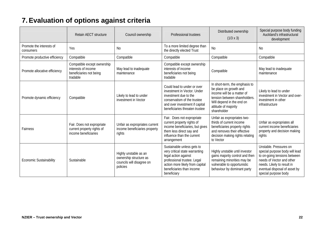## **7. Evaluation of options against criteria**

<span id="page-27-1"></span><span id="page-27-0"></span>

|                                       | <b>Retain AECT structure</b>                                                              | Council ownership                                                                        | Professional trustees                                                                                                                                                                              | Distributed ownership<br>$(1/3 \times 3)$                                                                                                                                                   | Special purpose body funding<br>Auckland's infrastructural<br>development                                                                                                                                    |
|---------------------------------------|-------------------------------------------------------------------------------------------|------------------------------------------------------------------------------------------|----------------------------------------------------------------------------------------------------------------------------------------------------------------------------------------------------|---------------------------------------------------------------------------------------------------------------------------------------------------------------------------------------------|--------------------------------------------------------------------------------------------------------------------------------------------------------------------------------------------------------------|
| Promote the interests of<br>consumers | Yes                                                                                       | <b>No</b>                                                                                | To a more limited degree than<br>the directly elected Trust                                                                                                                                        | <b>No</b>                                                                                                                                                                                   | <b>No</b>                                                                                                                                                                                                    |
| Promote productive efficiency         | Compatible                                                                                | Compatible                                                                               | Compatible                                                                                                                                                                                         | Compatible                                                                                                                                                                                  | Compatible                                                                                                                                                                                                   |
| Promote allocative efficiency         | Compatible except ownership<br>interests of income<br>beneficiaries not being<br>tradable | May lead to inadequate<br>maintenance                                                    | Compatible except ownership<br>interests of income<br>beneficiaries not being<br>tradable                                                                                                          | Compatible                                                                                                                                                                                  | May lead to inadequate<br>maintenance                                                                                                                                                                        |
| Promote dynamic efficiency            | Compatible                                                                                | Likely to lead to under<br>investment in Vector                                          | Could lead to under or over<br>investment in Vector. Under<br>investment due to the<br>conservatism of the trustee<br>and over investment if capital<br>beneficiaries threaten trustee             | In short-term, the emphasis to<br>be place on growth and<br>income will be a matter of<br>tension between shareholders.<br>Will depend in the end on<br>attitude of majority<br>shareholder | Likely to lead to under<br>investment in Vector and over-<br>investment in other<br>infrastructure                                                                                                           |
| Fairness                              | Fair. Does not expropriate<br>current property rights of<br>income beneficiaries          | Unfair as expropriates current<br>income beneficiaries property<br>rights                | Fair. Does not expropriate<br>current property rights of<br>income beneficiaries, but gives<br>them less direct say and<br>influence than the current<br>arrangement                               | Unfair as expropriates two-<br>thirds of current income<br>beneficiaries property rights<br>and removes their effective<br>decision making rights relating<br>to Vector                     | Unfair as expropriates all<br>current income beneficiaries<br>property and decision making<br>rights                                                                                                         |
| <b>Economic Sustainability</b>        | Sustainable                                                                               | Highly unstable as an<br>ownership structure as<br>councils will disagree on<br>policies | Sustainable unless gets to<br>very critical state warranting<br>legal action against<br>professional trustee. Legal<br>action more likely from capital<br>beneficiaries than income<br>beneficiary | Highly unstable until investor<br>gains majority control and then<br>remaining minorities may be<br>vulnerable to opportunistic<br>behaviour by dominant party                              | Unstable. Pressures on<br>special purpose body will lead<br>to on-going tensions between<br>needs of Vector and other<br>needs. Likely to result in<br>eventual disposal of asset by<br>special purpose body |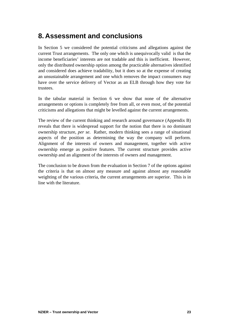## <span id="page-28-0"></span>**8. Assessment and conclusions**

In Section [5](#page-18-3) we considered the potential criticisms and allegations against the current Trust arrangements. The only one which is unequivocally valid is that the income beneficiaries' interests are not tradable and this is inefficient. However, only the distributed ownership option among the practicable alternatives identified and considered does achieve tradability, but it does so at the expense of creating an unsustainable arrangement and one which removes the impact consumers may have over the service delivery of Vector as an ELB through how they vote for trustees.

In the tabular material in Section [6](#page-25-1) we show that none of the alternative arrangements or options is completely free from all, or even most, of the potential criticisms and allegations that might be levelled against the current arrangements.

The review of the current thinking and research around governance (Appendix B) reveals that there is widespread support for the notion that there is no dominant ownership structure, *per se*. Rather, modern thinking sees a range of situational aspects of the position as determining the way the company will perform. Alignment of the interests of owners and management, together with active ownership emerge as positive features. The current structure provides active ownership and an alignment of the interests of owners and management.

The conclusion to be drawn from the evaluation in Section [7](#page-27-1) of the options against the criteria is that on almost any measure and against almost any reasonable weighting of the various criteria, the current arrangements are superior. This is in line with the literature.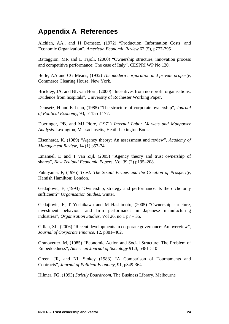## <span id="page-29-0"></span>**Appendix A References**

Alchian, AA., and H Demsetz, (1972) "Production, Information Costs, and Economic Organization", *American Economic Review* 62 (5), p777-795

Battaggion, MR and L Tajoli, (2000) "Ownership structure, innovation process and competitive performance: The case of Italy", CESPRI WP No 120.

Berle, AA and CG Means, (1932) *The modern corporation and private property,* Commerce Clearing House, New York.

Brickley, JA, and BL van Horn, (2000) "Incentives from non-profit organisations: Evidence from hospitals", University of Rochester Working Paper.

Demsetz, H and K Lehn, (1985) "The structure of corporate ownership", *Journal of Political Economy*, 93, p1155-1177.

Doeringer, PB. and MJ Piore, (1971) *Internal Labor Markets and Manpower Analysis*. Lexington, Massachusetts, Heath Lexington Books.

Eisenhardt, K, (1989) "Agency theory: An assessment and review", *Academy of Management Review*, 14 (1) p57-74.

Emanuel, D and T van Zijl, (2005) "Agency theory and trust ownership of shares", *New Zealand Economic Papers*, Vol 39 (2) p195–208.

Fukuyama, F, (1995) *Trust: The Social Virtues and the Creation of Prosperity*, Hamish Hamilton: London.

Gedajlovic, E, (1993) "Ownership, strategy and performance: Is the dichotomy sufficient?" *Organisation Studies*, winter.

Gedajlovic, E, T Yoshikawa and M Hashimoto, (2005) "Ownership structure, investment behaviour and firm performance in Japanese manufacturing industries", *Organisation Studies*, Vol 26, no 1 p7 – 35.

Gillan, SL, (2006) "Recent developments in corporate governance: An overview", *Journal of Corporate Finance*, 12, p381–402.

Granovetter, M, (1985) "Economic Action and Social Structure: The Problem of Embeddedness", *American Journal of Sociology* 91:3, p481-510

Green, JR, and NL Stokey (1983) "A Comparison of Tournaments and Contracts", *Journal of Political Economy*, 91, p349-364.

Hilmer, FG, (1993) *Strictly Boardroom*, The Business Library, Melbourne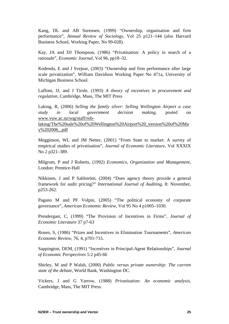Kang, DL and AB Sorensen, (1999) "Ownership, organisation and firm performance", *Annual Review of Sociology*, Vol 25 p121–144 (also Harvard Business School, Working Paper, No 99-028).

Kay, JA and DJ Thompson, (1986) "Privatisation: A policy in search of a rationale", *Economic Journal*, Vol 96, pp18–32.

Kodenda, E and J Svejnar, (2003) "Ownership and firm performance after large scale privatization", William Davidson Working Paper No 471a, University of Michigan Business School.

Laffont, JJ, and J Tirole, (1993) *A theory of incentives in procurement and regulation*, Cambridge, Mass, The MIT Press

Laking, R, (2006) *Selling the family silver: Selling Wellington Airport a case study in local government decision making*, posted on [www.vuw.ac.nz/sog/staff/rob-](http://www.vuw.ac.nz/sog/staff/rob-laking/The sale of Wellington Airport _version of May 2006_.pdf)

[laking/The%20sale%20of%20Wellington%20Airport%20\\_version%20of%20Ma](http://www.vuw.ac.nz/sog/staff/rob-laking/The sale of Wellington Airport _version of May 2006_.pdf) [y%202006\\_.pdf](http://www.vuw.ac.nz/sog/staff/rob-laking/The sale of Wellington Airport _version of May 2006_.pdf)

Megginson, WL and JM Netter, (2001) "From State to market: A survey of empirical studies of privatisation", *Journal of Economic Literature*, Vol XXXIX No 2 p321–389.

Milgrom, P and J Roberts, (1992) *Economics, Organization and Management*, London: Prentice-Hall

Nikkinen, J and P Sahlström, (2004) "Does agency theory provide a general framework for audit pricing?" *International Journal of Auditing*, 8: November, p253-262.

Pagano M and PF Volpin, (2005) "The political economy of corporate governance", *American Economic Review*, Vol 95 No 4 p1005–1030.

Prendergast, C, (1999) "The Provision of Incentives in Firms", *Journal of Economic Literature* 37 p7-63

Rosen, S, (1986) "Prizes and Incentives in Elimination Tournaments", *American Economic Review*, 76, 4, p701-715.

Sappington, DEM, (1991) "Incentives in Principal-Agent Relationships", *Journal of Economic Perspectives* 5:2 p45-66

Shirley, M and P Walsh, (2000) *Public versus private ownership: The current state of the debate,* World Bank, Washington DC.

Vickers, J and G Yarrow, (1988) *Privatisation: An economic analysis*, Cambridge, Mass, The MIT Press.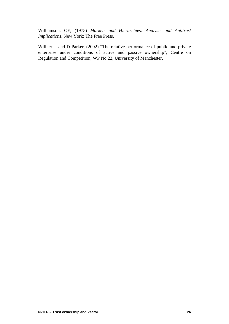Williamson, OE, (1975) *Markets and Hierarchies: Analysis and Antitrust Implications*, New York: The Free Press,

Willner, J and D Parker, (2002) "The relative performance of public and private enterprise under conditions of active and passive ownership", Centre on Regulation and Competition, WP No 22, University of Manchester.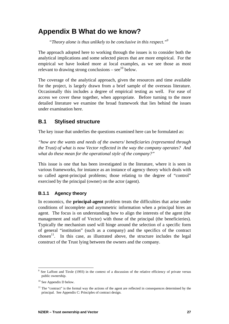## <span id="page-32-0"></span>**Appendix B What do we know?**

*"Theory alone is thus unlikely to be conclusive in this respect."[9](#page-32-1)*

The approach adopted here to working through the issues is to consider both the analytical implications and some selected pieces that are more empirical. For the empirical we have looked more at local examples, as we see those as most relevant to drawing strong conclusions – see<sup>10</sup> below.

The coverage of the analytical approach, given the resources and time available for the project, is largely drawn from a brief sample of the overseas literature. Occasionally this includes a degree of empirical testing as well. For ease of access we cover these together, when appropriate. Before turning to the more detailed literature we examine the broad framework that lies behind the issues under examination here.

#### **B.1 Stylised structure**

The key issue that underlies the questions examined here can be formulated as:

*"how are the wants and needs of the owners/ beneficiaries (represented through the Trust) of what is now Vector reflected in the way the company operates? And what do these mean for the operational style of the company?"* 

This issue is one that has been investigated in the literature, where it is seen in various frameworks, for instance as an instance of agency theory which deals with so called agent-principal problems; those relating to the degree of "control" exercised by the principal (owner) on the actor (agent).

#### **B.1.1 Agency theory**

In [economics](http://en.wikipedia.org/wiki/Economics), the **principal-agent** problem treats the difficulties that arise under conditions of incomplete and [asymmetric information](http://en.wikipedia.org/wiki/Information_asymmetry) when a [principal](http://en.wikipedia.org/wiki/Principal_%28law%29) hires an [agent](http://en.wikipedia.org/wiki/Agent_%28economics%29). The focus is on understanding how to align the interests of the agent (the management and staff of Vector) with those of the principal (the beneficieries). Typically the mechanism used will hinge around the selection of a specific form of general "institution" (such as a company) and the specifics of the contract chosen<sup>11</sup>. In this case, as illustrated above, the structure includes the legal construct of the Trust lying between the owners and the company.

 $\overline{a}$ 

<span id="page-32-1"></span><sup>9</sup> See Laffont and Tirole (1993) in the context of a discussion of the relative efficiency of private versus public ownership.

<span id="page-32-2"></span> $10$  See Appendix D below.

<span id="page-32-3"></span> $11$  The "contract" is the formal way the actions of the agent are reflected in consequences determined by the principal. See Appendix C: Principles of contract design.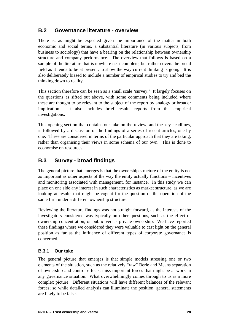### <span id="page-33-0"></span>**B.2 Governance literature - overview**

There is, as might be expected given the importance of the matter in both economic and social terms, a substantial literature (in various subjects, from business to sociology) that have a bearing on the relationship between ownership structure and company performance. The overview that follows is based on a sample of the literature that is nowhere near complete, but rather covers the broad field as it tends to be at present, to show the way current thinking is going. It is also deliberately biased to include a number of empirical studies to try and bed the thinking down to reality.

This section therefore can be seen as a small scale 'survey.' It largely focuses on the questions as sifted out above, with some comments being included where these are thought to be relevant to the subject of the report by analogy or broader implication. It also includes brief results reports from the empirical investigations.

This opening section that contains our take on the review, and the key headlines, is followed by a discussion of the findings of a series of recent articles, one by one. These are considered in terms of the particular approach that they are taking, rather than organising their views in some schema of our own. This is done to economise on resources.

### **B.3 Survey - broad findings**

The general picture that emerges is that the ownership structure of the entity is not as important as other aspects of the way the entity actually functions – incentives and monitoring associated with management, for instance. In this study we can place on one side any interest in such characteristics as market structure, as we are looking at results that might be cogent for the question of the operation of the same firm under a different ownership structure.

Reviewing the literature findings was not straight forward, as the interests of the investigators considered was typically on other questions, such as the effect of ownership concentration, or public versus private ownership. We have reported these findings where we considered they were valuable to cast light on the general position as far as the influence of different types of corporate governance is concerned.

#### **B.3.1 Our take**

The general picture that emerges is that simple models stressing one or two elements of the situation, such as the relatively "raw" Berle and Means separation of ownership and control effects, miss important forces that might be at work in any governance situation. What overwhelmingly comes through to us is a more complex picture. Different situations will have different balances of the relevant forces; so while detailed analysis can illuminate the position, general statements are likely to be false.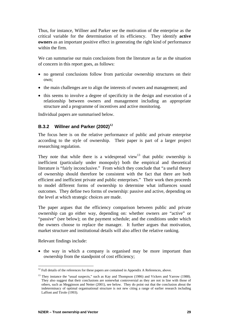Thus, for instance, Willner and Parker see the motivation of the enterprise as the critical variable for the determination of its efficiency. They identify **active owners** as an important positive effect in generating the right kind of performance within the firm.

We can summarise our main conclusions from the literature as far as the situation of concern in this report goes, as follows:

- no general conclusions follow from particular ownership structures on their own;
- the main challenges are to align the interests of owners and management; and
- this seems to involve a degree of specificity in the design and execution of a relationship between owners and management including an appropriate structure and a programme of incentives and active monitoring.

Individual papers are summarised below.

#### **B.3.2 Willner and Parker (2002)[12](#page-34-0)**

The focus here is on the relative performance of public and private enterprise according to the style of ownership. Their paper is part of a larger project researching regulation.

They note that while there is a widespread view<sup>13</sup> that public ownership is inefficient (particularly under monopoly) both the empirical and theoretical literature is "fairly inconclusive." From which they conclude that "a useful theory of ownership should therefore be consistent with the fact that there are both efficient and inefficient private and public enterprises." Their work then proceeds to model different forms of ownership to determine what influences sound outcomes. They define two forms of ownership: passive and active, depending on the level at which strategic choices are made.

The paper argues that the efficiency comparison between public and private ownership can go either way, depending on: whether owners are "active" or "passive" (see below); on the payment schedule; and the conditions under which the owners choose to replace the manager. It further argues that motivation, market structure and institutional details will also affect the relative ranking.

Relevant findings include:

• the way in which a company is organised may be more important than ownership from the standpoint of cost efficiency;

<span id="page-34-0"></span> $\overline{a}$  $12$  Full details of the references for these papers are contained in Appendix A References, above.

<span id="page-34-1"></span><sup>&</sup>lt;sup>13</sup> They instance the "usual suspects," such as Kay and Thompson (1986) and Vickers and Yarrow (1988). They also suggest that their conclusions are somewhat controversial as they are not in line with those of others, such as Megginson and Netter (2001), see below. They do point out that the conclusion about the indeterminacy of optimal organisational structure is not new citing a range of earlier research including Laffont and Tirole (1993).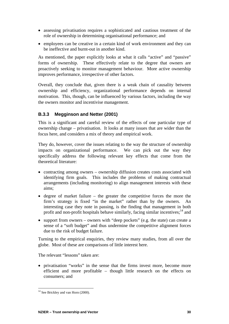- assessing privatisation requires a sophisticated and cautious treatment of the role of ownership in determining organisational performance; and
- employees can be creative in a certain kind of work environment and they can be ineffective and burnt-out in another kind.

As mentioned, the paper explicitly looks at what it calls "active" and "passive" forms of ownership. These effectively relate to the degree that owners are proactively seeking to monitor management behaviour. More active ownership improves performance, irrespective of other factors.

Overall, they conclude that, given there is a weak chain of causality between ownership and efficiency, organizational performance depends on internal motivation. This, though, can be influenced by various factors, including the way the owners monitor and incentivise management.

#### **B.3.3 Megginson and Netter (2001)**

This is a significant and careful review of the effects of one particular type of ownership change – privatisation. It looks at many issues that are wider than the focus here, and considers a mix of theory and empirical work.

They do, however, cover the issues relating to the way the structure of ownership impacts on organizational performance. We can pick out the way they specifically address the following relevant key effects that come from the theoretical literature:

- contracting among owners ownership diffusion creates costs associated with identifying firm goals. This includes the problems of making contractual arrangements (including monitoring) to align management interests with these aims;
- degree of market failure the greater the competitive forces the more the firm's strategy is fixed "in the market" rather than by the owners. An interesting case they note in passing, is the finding that management in both profit and non-profit hospitals behave similarly, facing similar incentives;<sup>14</sup> and
- support from owners owners with "deep pockets" (e.g. the state) can create a sense of a "soft budget" and thus undermine the competitive alignment forces due to the risk of budget failure.

Turning to the empirical enquiries, they review many studies, from all over the globe. Most of these are comparisons of little interest here.

The relevant "lessons" taken are:

• privatisation "works" in the sense that the firms invest more, become more efficient and more profitable – though little research on the effects on consumers; and

 $\overline{a}$ 

<span id="page-35-0"></span> $14$  See Brickley and van Horn (2000).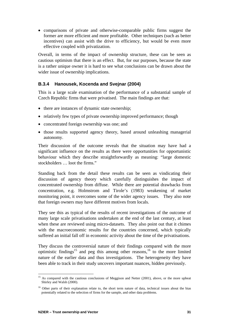• comparisons of private and otherwise-comparable public firms suggest the former are more efficient and more profitable. Other techniques (such as better incentives) can assist with the drive to efficiency, but would be even more effective coupled with privatization.

Overall, in terms of the impact of ownership structure, these can be seen as cautious optimism that there is an effect. But, for our purposes, because the state is a rather unique owner it is hard to see what conclusions can be drawn about the wider issue of ownership implications.

#### **B.3.4 Hanousek, Kocenda and Svejnar (2004)**

This is a large scale examination of the performance of a substantial sample of Czech Republic firms that were privatised. The main findings are that:

- there are instances of dynamic state ownership;
- relatively few types of private ownership improved performance; though
- concentrated foreign ownership was one; and
- those results supported agency theory, based around unleashing managerial autonomy.

Their discussion of the outcome reveals that the situation may have had a significant influence on the results as there were opportunities for opportunistic behaviour which they describe straightforwardly as meaning: "large domestic stockholders … loot the firms."

Standing back from the detail these results can be seen as vindicating their discussion of agency theory which carefully distinguishes the impact of concentrated ownership from diffuse. While there are potential drawbacks from concentration, e.g. Holmstrom and Tirole's (1983) weakening of market monitoring point, it overcomes some of the wider agency issues. They also note that foreign owners may have different motives from locals.

They see this as typical of the results of recent investigations of the outcome of many large scale privatisations undertaken at the end of the last century, at least when these are reviewed using micro-datasets. They also point out that it chimes with the macroeconomic results for the countries concerned, which typically suffered an initial fall off in economic activity about the time of the privatisations.

They discuss the controversial nature of their findings compared with the more optimistic findings<sup>15</sup> and peg this among other reasons,<sup>16</sup> to the more limited nature of the earlier data and thus investigations. The heterogeneity they have been able to track in their study uncovers important nuances, hidden previously.

<span id="page-36-0"></span> $\overline{a}$ <sup>15</sup> As compared with the cautious conclusions of Meggison and Netter (2001), above, or the more upbeat Shirley and Walsh (2000).

<span id="page-36-1"></span><sup>&</sup>lt;sup>16</sup> Other parts of their explanation relate to, the short term nature of data, technical issues about the bias potentially related to the selection of firms for the sample, and other data problems.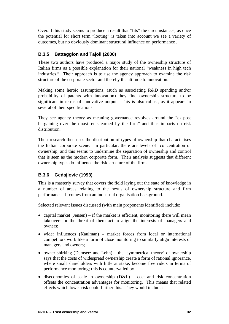Overall this study seems to produce a result that "fits" the circumstances, as once the potential for short term "looting" is taken into account we see a variety of outcomes, but no obviously dominant structural influence on performance .

#### **B.3.5 Battaggion and Tajoli (2000)**

These two authors have produced a major study of the ownership structure of Italian firms as a possible explanation for their national "weakness in high tech industries." Their approach is to use the agency approach to examine the risk structure of the corporate sector and thereby the attitude to innovation.

Making some heroic assumptions, (such as associating R&D spending and/or probability of patents with innovation) they find ownership structure to be significant in terms of innovative output. This is also robust, as it appears in several of their specifications.

They see agency theory as meaning governance revolves around the "ex-post bargaining over the quasi-rents earned by the firm" and thus impacts on risk distribution.

Their research then uses the distribution of types of ownership that characterises the Italian corporate scene. In particular, there are levels of concentration of ownership, and this seems to undermine the separation of ownership and control that is seen as the modern corporate form. Their analysis suggests that different ownership types do influence the risk structure of the firms.

#### **B.3.6 Gedajlovic (1993)**

This is a masterly survey that covers the field laying out the state of knowledge in a number of areas relating to the nexus of ownership structure and firm performance. It comes from an industrial organisation background.

Selected relevant issues discussed (with main proponents identified) include:

- capital market (Jensen) if the market is efficient, monitoring there will mean takeovers or the threat of them act to align the interests of managers and owners;
- wider influences (Kaulman) market forces from local or international competitors work like a form of close monitoring to similarly align interests of managers and owners;
- owner shirking (Demsetz and Lehn) the 'symmetrical theory' of ownership says that the costs of widespread ownership create a form of rational ignorance, where small shareholders with little at stake, become free riders in terms of performance monitoring; this is countervailed by
- diseconomies of scale in ownership  $(D&L)$  cost and risk concentration offsets the concentration advantages for monitoring. This means that related effects which lower risk could further this. They would include: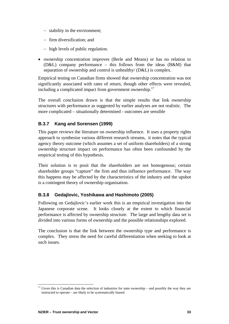- − stability in the environment;
- − firm diversification; and
- − high levels of public regulation.
- ownership concentration improves (Berle and Means) or has no relation to (D&L) company performance – this follows from the ideas (B&M) that separation of ownership and control is unhealthy/ (D&L) is complex.

Empirical testing on Canadian firms showed that ownership concentration was not significantly associated with rates of return, though other effects were revealed, including a complicated impact from government ownership.<sup>[17](#page-38-0)</sup>

The overall conclusion drawn is that the simple results that link ownership structures with performance as suggested by earlier analyses are not realistic. The more complicated – situationally determined - outcomes are sensible

#### **B.3.7 Kang and Sorensen (1999)**

This paper reviews the literature on ownership influence. It uses a property rights approach to synthesise various different research streams, it notes that the typical agency theory outcome (which assumes a set of uniform shareholders) of a strong ownership structure impact on performance has often been confounded by the empirical testing of this hypothesis.

Their solution is to posit that the shareholders are not homogenous; certain shareholder groups "capture" the firm and thus influence performance. The way this happens may be affected by the characteristics of the industry and the upshot is a contingent theory of ownership organisation.

#### **B.3.8 Gedajlovic, Yoshikawa and Hashimoto (2005)**

Following on Gedajlovic's earlier work this is an empirical investigation into the Japanese corporate scene. It looks closely at the extent to which financial performance is affected by ownership structure. The large and lengthy data set is divided into various forms of ownership and the possible relationships explored.

The conclusion is that the link between the ownership type and performance is complex. They stress the need for careful differentiation when seeking to look at such issues.

<span id="page-38-0"></span><sup>17</sup> Given this is Canadian data the selection of industries for state ownership – and possibly the way they are instructed to operate – are likely to be systematically biased.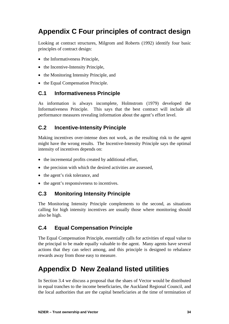## <span id="page-39-0"></span>**Appendix C Four principles of contract design**

Looking at contract structures, Milgrom and Roberts (1992) identify four basic principles of contract design:

- the Informativeness Principle,
- the Incentive-Intensity Principle,
- the Monitoring Intensity Principle, and
- the Equal Compensation Principle.

### **C.1 Informativeness Principle**

As information is always incomplete, Holmstrom (1979) developed the Informativeness Principle. This says that the best contract will include all performance measures revealing information about the agent's effort level.

### **C.2 Incentive-Intensity Principle**

Making incentives over-intense does not work, as the resulting risk to the agent might have the wrong results. The Incentive-Intensity Principle says the optimal intensity of incentives depends on:

- the incremental profits created by additional effort,
- the precision with which the desired activities are assessed,
- the agent's risk tolerance, and
- the agent's responsiveness to incentives.

### **C.3 Monitoring Intensity Principle**

The Monitoring Intensity Principle complements to the second, as situations calling for high intensity incentives are usually those where monitoring should also be high.

### **C.4 Equal Compensation Principle**

The Equal Compensation Principle, essentially calls for activities of equal value to the principal to be made equally valuable to the agent. Many agents have several actions that they can select among, and this principle is designed to rebalance rewards away from those easy to measure.

## **Appendix D New Zealand listed utilities**

In Section [3.4](#page-14-2) we discuss a proposal that the shaes of Vector would be distributed in equal tranches to the income beneficiaries, the Auckland Regional Council, and the local authorities that are the capital beneficiaries at the time of termination of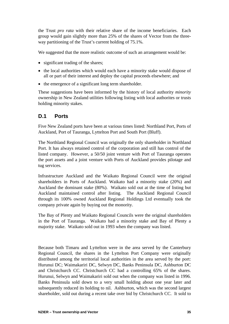<span id="page-40-0"></span>the Trust *pro rata* with their relative share of the income beneficiaries. Each group would gain slightly more than 25% of the shares of Vector from the threeway partitioning of the Trust's current holding of 75.1%.

We suggested that the more realistic outcome of such an arrangement would be:

- significant trading of the shares;
- the local authorities which would each have a minority stake would dispose of all or part of their interest and deploy the capital proceeds elsewhere; and
- the emergence of a significant long term shareholder.

These suggestions have been informed by the history of local authority *minority* ownership in New Zealand utilities following listing with local authorites or trusts holding minority stakes.

#### **D.1 Ports**

Five New Zealand ports have been at various times listed: Northland Port, Ports of Auckland, Port of Tauranga, Lyttelton Port and South Port (Bluff).

The Northland Regional Council was originally the only shareholder in Northland Port. It has always retained control of the corporation and still has control of the listed company. However, a 50/50 joint venture with Port of Tauranga operates the port assets and a joint venture with Ports of Auckland provides pilotage and tug services.

Infrastructure Auckland and the Waikato Regional Council were the original shareholders in Ports of Auckland. Waikato had a minority stake (20%) and Auckland the dominant stake (80%). Waikato sold out at the time of listing but Auckland maintained control after listing. The Auckland Regional Council through its 100% owned Auckland Regional Holdings Ltd eventually took the company private again by buying out the monority.

The Bay of Plenty and Waikato Regional Councils were the original shareholders in the Port of Tauranga. Waikato had a minority stake and Bay of Plenty a majority stake. Waikato sold out in 1993 when the company was listed.

Because both Timaru and Lyttelton were in the area served by the Canterbury Regional Council, the shares in the Lyttelton Port Company were originally distributed among the territorial local authorities in the area served by the port: Hurunui DC; Waimakariri DC, Selwyn DC, Banks Peninsula DC, Ashburton DC and Christchurch CC. Christchurch CC had a controlling 65% of the shares. Hurunui, Selwyn and Waimakariri sold out when the company was listed in 1996. Banks Peninsula sold down to a very small holding about one year later and subsequently reduced its holding to nil. Ashburton, which was the second largest shareholder, sold out during a recent take over bid by Christchurch CC. It sold to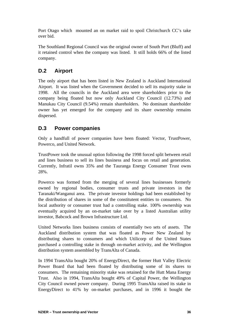<span id="page-41-0"></span>Port Otago which mounted an on market raid to spoil Christchurch CC's take over bid.

The Southland Regional Council was the original owner of South Port (Bluff) and it retained control when the company was listed. It still holds 66% of the listed company.

### **D.2 Airport**

The only airport that has been listed in New Zealand is Auckland International Airport. It was listed when the Government decided to sell its majority stake in 1998. All the councils in the Auckland area were shareholders prior to the company being floated but now only Auckland City Council (12.73%) and Manukau City Council (9.54%) remain shareholders. No dominant shareholder owner has yet emerged for the company and its share ownership remains dispersed.

#### **D.3 Power companies**

Only a handfull of power companies have been floated: Vector, TrustPower, Powerco, and United Network.

TrustPower took the unusual option following the 1998 forced split between retail and lines business to sell its lines business and focus on retail and generation. Currently, Infratil owns 35% and the Tauranga Energy Consumer Trust owns 28%.

Powerco was formed from the merging of several lines businesses formerly owned by regional bodies, consumer trusts and private investors in the Taranaki/Wanganui area. The private investor holdings had been established by the distribution of shares in some of the constitutent entities to consumers. No local authority or consumer trust had a controlling stake. 100% ownership was eventually acquired by an on-market take over by a listed Australian utility investor, Babcock and Brown Infrastructure Ltd.

United Networks lines business consists of essentially two sets of assets. The Auckland distribution system that was floated as Power New Zealand by distributing shares to consumers and which Utilicorp of the United States purchased a controlling stake in through on-market activity, and the Wellington distribution system assembled by TransAlta of Canada.

In 1994 TransAlta bought 20% of EnergyDirect, the former Hutt Valley Electric Power Board that had been floated by distributing some of its shares to consumers. The remaining minority stake was retained for the Hutt Mana Energy Trust. Also in 1994, TransAlta bought 49% of Capital Power, the Wellington City Council owned power company. During 1995 TransAlta raised its stake in EnergyDirect to 41% by on-market purchases, and in 1996 it bought the